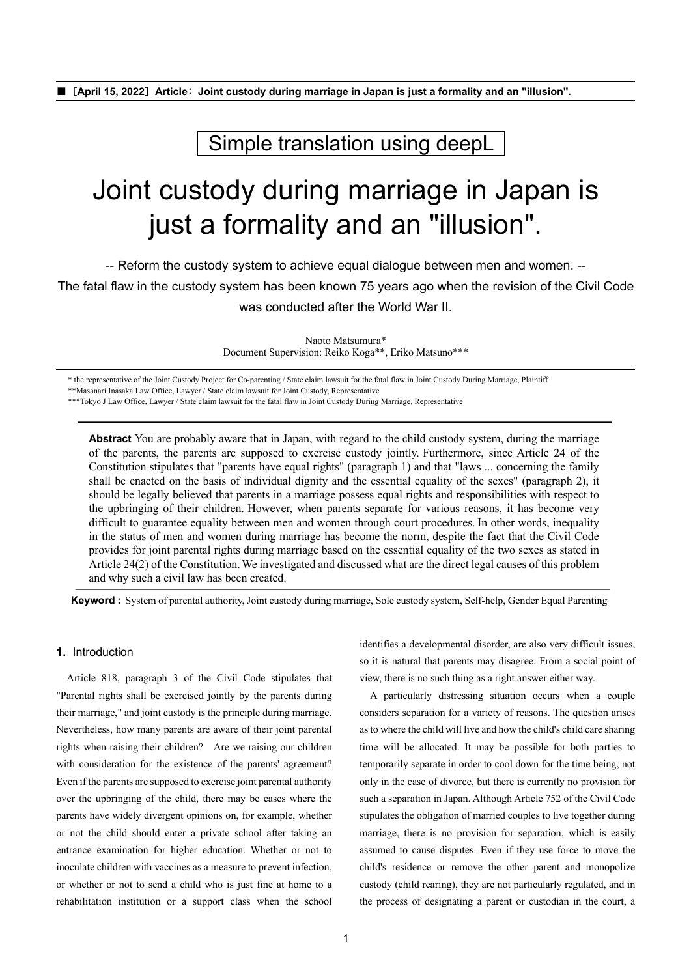■[**April 15, 2022**]**Article**: **Joint custody during marriage in Japan is just a formality and an "illusion".**

Simple translation using deepL

# Joint custody during marriage in Japan is just a formality and an "illusion".

-- Reform the custody system to achieve equal dialogue between men and women. --

The fatal flaw in the custody system has been known 75 years ago when the revision of the Civil Code

was conducted after the World War II.

Naoto Matsumura\* Document Supervision: Reiko Koga\*\*, Eriko Matsuno\*\*\*

\* the representative of the Joint Custody Project for Co-parenting / State claim lawsuit for the fatal flaw in Joint Custody During Marriage, Plaintiff

\*\*Masanari Inasaka Law Office, Lawyer / State claim lawsuit for Joint Custody, Representative

\*\*\*Tokyo J Law Office, Lawyer / State claim lawsuit for the fatal flaw in Joint Custody During Marriage, Representative

**Abstract** You are probably aware that in Japan, with regard to the child custody system, during the marriage of the parents, the parents are supposed to exercise custody jointly. Furthermore, since Article 24 of the Constitution stipulates that "parents have equal rights" (paragraph 1) and that "laws ... concerning the family shall be enacted on the basis of individual dignity and the essential equality of the sexes" (paragraph 2), it should be legally believed that parents in a marriage possess equal rights and responsibilities with respect to the upbringing of their children. However, when parents separate for various reasons, it has become very difficult to guarantee equality between men and women through court procedures. In other words, inequality in the status of men and women during marriage has become the norm, despite the fact that the Civil Code provides for joint parental rights during marriage based on the essential equality of the two sexes as stated in Article 24(2) of the Constitution. We investigated and discussed what are the direct legal causes of this problem and why such a civil law has been created.

**Keyword :** System of parental authority, Joint custody during marriage, Sole custody system, Self-help, Gender Equal Parenting

# **1.** Introduction

Article 818, paragraph 3 of the Civil Code stipulates that "Parental rights shall be exercised jointly by the parents during their marriage," and joint custody is the principle during marriage. Nevertheless, how many parents are aware of their joint parental rights when raising their children? Are we raising our children with consideration for the existence of the parents' agreement? Even if the parents are supposed to exercise joint parental authority over the upbringing of the child, there may be cases where the parents have widely divergent opinions on, for example, whether or not the child should enter a private school after taking an entrance examination for higher education. Whether or not to inoculate children with vaccines as a measure to prevent infection, or whether or not to send a child who is just fine at home to a rehabilitation institution or a support class when the school identifies a developmental disorder, are also very difficult issues, so it is natural that parents may disagree. From a social point of view, there is no such thing as a right answer either way.

A particularly distressing situation occurs when a couple considers separation for a variety of reasons. The question arises as to where the child will live and how the child's child care sharing time will be allocated. It may be possible for both parties to temporarily separate in order to cool down for the time being, not only in the case of divorce, but there is currently no provision for such a separation in Japan. Although Article 752 of the Civil Code stipulates the obligation of married couples to live together during marriage, there is no provision for separation, which is easily assumed to cause disputes. Even if they use force to move the child's residence or remove the other parent and monopolize custody (child rearing), they are not particularly regulated, and in the process of designating a parent or custodian in the court, a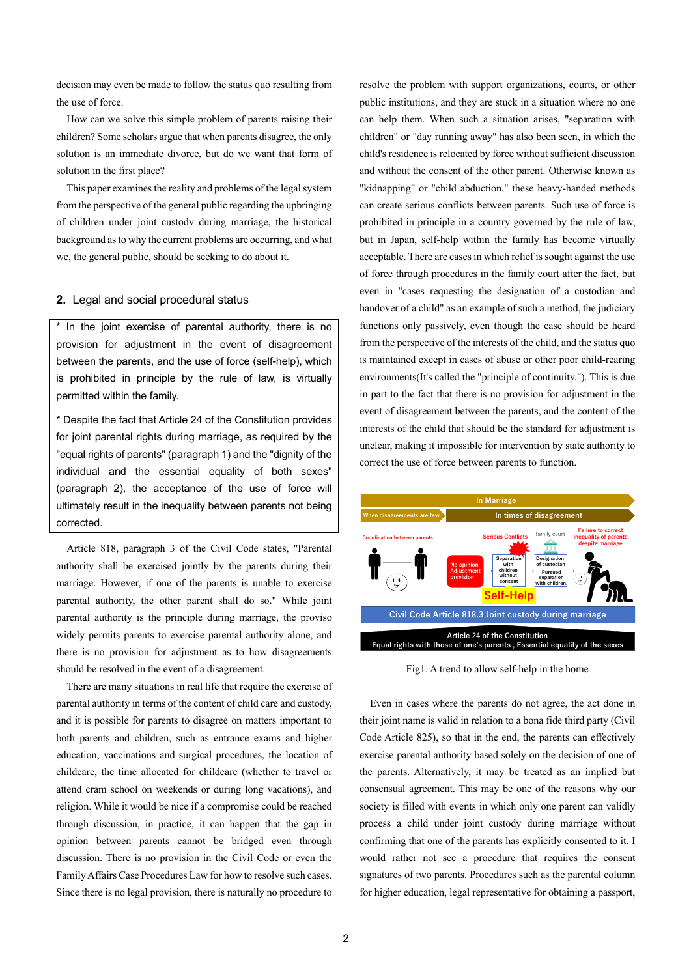decision may even be made to follow the status quo resulting from the use of force.

How can we solve this simple problem of parents raising their children? Some scholars argue that when parents disagree, the only solution is an immediate divorce, but do we want that form of solution in the first place?

This paper examines the reality and problems of the legal system from the perspective of the general public regarding the upbringing of children under joint custody during marriage, the historical background as to why the current problems are occurring, and what we, the general public, should be seeking to do about it.

# **2.** Legal and social procedural status

In the joint exercise of parental authority, there is no provision for adjustment in the event of disagreement between the parents, and the use of force (self-help), which is prohibited in principle by the rule of law, is virtually permitted within the family.

\* Despite the fact that Article 24 of the Constitution provides for joint parental rights during marriage, as required by the "equal rights of parents" (paragraph 1) and the "dignity of the individual and the essential equality of both sexes" (paragraph 2), the acceptance of the use of force will ultimately result in the inequality between parents not being corrected.

Article 818, paragraph 3 of the Civil Code states, "Parental authority shall be exercised jointly by the parents during their marriage. However, if one of the parents is unable to exercise parental authority, the other parent shall do so." While joint parental authority is the principle during marriage, the proviso widely permits parents to exercise parental authority alone, and there is no provision for adjustment as to how disagreements should be resolved in the event of a disagreement.

There are many situations in real life that require the exercise of parental authority in terms of the content of child care and custody, and it is possible for parents to disagree on matters important to both parents and children, such as entrance exams and higher education, vaccinations and surgical procedures, the location of childcare, the time allocated for childcare (whether to travel or attend cram school on weekends or during long vacations), and religion. While it would be nice if a compromise could be reached through discussion, in practice, it can happen that the gap in opinion between parents cannot be bridged even through discussion. There is no provision in the Civil Code or even the Family Affairs Case Procedures Law for how to resolve such cases. Since there is no legal provision, there is naturally no procedure to

resolve the problem with support organizations, courts, or other public institutions, and they are stuck in a situation where no one can help them. When such a situation arises, "separation with children" or "day running away" has also been seen, in which the child's residence is relocated by force without sufficient discussion and without the consent of the other parent. Otherwise known as "kidnapping" or "child abduction," these heavy-handed methods can create serious conflicts between parents. Such use of force is prohibited in principle in a country governed by the rule of law, but in Japan, self-help within the family has become virtually acceptable. There are cases in which relief is sought against the use of force through procedures in the family court after the fact, but even in "cases requesting the designation of a custodian and handover of a child" as an example of such a method, the judiciary functions only passively, even though the case should be heard from the perspective of the interests of the child, and the status quo is maintained except in cases of abuse or other poor child-rearing environments(It's called the "principle of continuity."). This is due in part to the fact that there is no provision for adjustment in the event of disagreement between the parents, and the content of the interests of the child that should be the standard for adjustment is unclear, making it impossible for intervention by state authority to correct the use of force between parents to function.



Fig1. A trend to allow self-help in the home

Even in cases where the parents do not agree, the act done in their joint name is valid in relation to a bona fide third party (Civil Code Article 825), so that in the end, the parents can effectively exercise parental authority based solely on the decision of one of the parents. Alternatively, it may be treated as an implied but consensual agreement. This may be one of the reasons why our society is filled with events in which only one parent can validly process a child under joint custody during marriage without confirming that one of the parents has explicitly consented to it. I would rather not see a procedure that requires the consent signatures of two parents. Procedures such as the parental column for higher education, legal representative for obtaining a passport,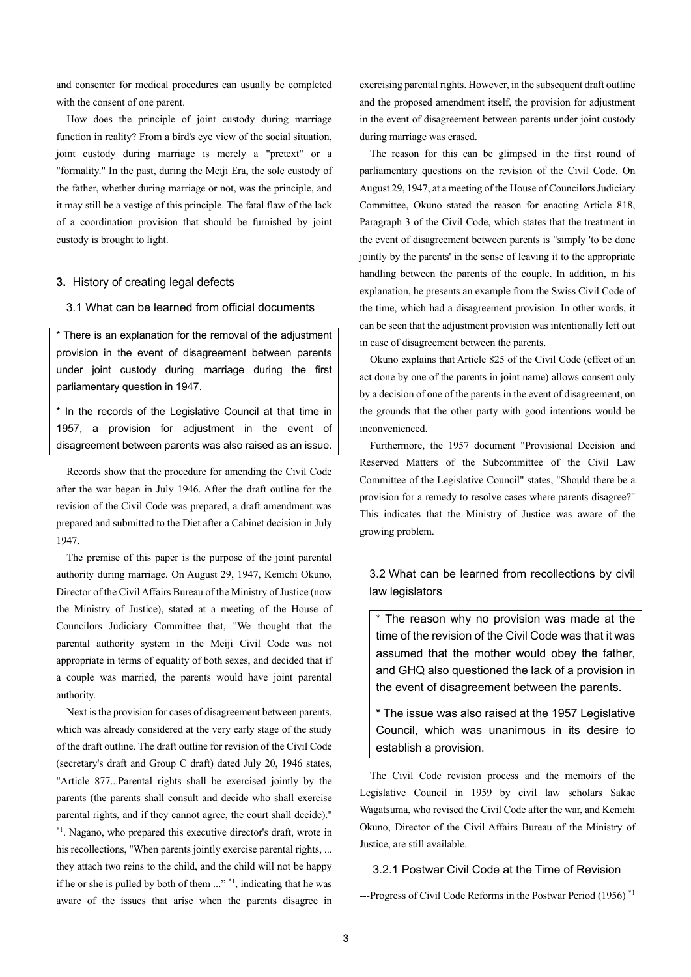and consenter for medical procedures can usually be completed with the consent of one parent.

How does the principle of joint custody during marriage function in reality? From a bird's eye view of the social situation, joint custody during marriage is merely a "pretext" or a "formality." In the past, during the Meiji Era, the sole custody of the father, whether during marriage or not, was the principle, and it may still be a vestige of this principle. The fatal flaw of the lack of a coordination provision that should be furnished by joint custody is brought to light.

#### **3.** History of creating legal defects

#### 3.1 What can be learned from official documents

\* There is an explanation for the removal of the adjustment provision in the event of disagreement between parents under joint custody during marriage during the first parliamentary question in 1947.

\* In the records of the Legislative Council at that time in 1957, a provision for adjustment in the event of disagreement between parents was also raised as an issue.

Records show that the procedure for amending the Civil Code after the war began in July 1946. After the draft outline for the revision of the Civil Code was prepared, a draft amendment was prepared and submitted to the Diet after a Cabinet decision in July 1947.

The premise of this paper is the purpose of the joint parental authority during marriage. On August 29, 1947, Kenichi Okuno, Director of the Civil Affairs Bureau of the Ministry of Justice (now the Ministry of Justice), stated at a meeting of the House of Councilors Judiciary Committee that, "We thought that the parental authority system in the Meiji Civil Code was not appropriate in terms of equality of both sexes, and decided that if a couple was married, the parents would have joint parental authority.

Next is the provision for cases of disagreement between parents, which was already considered at the very early stage of the study of the draft outline. The draft outline for revision of the Civil Code (secretary's draft and Group C draft) dated July 20, 1946 states, "Article 877...Parental rights shall be exercised jointly by the parents (the parents shall consult and decide who shall exercise parental rights, and if they cannot agree, the court shall decide)." \*1. Nagano, who prepared this executive director's draft, wrote in his recollections, "When parents jointly exercise parental rights, ... they attach two reins to the child, and the child will not be happy if he or she is pulled by both of them ..." \*1, indicating that he was aware of the issues that arise when the parents disagree in

exercising parental rights. However, in the subsequent draft outline and the proposed amendment itself, the provision for adjustment in the event of disagreement between parents under joint custody during marriage was erased.

The reason for this can be glimpsed in the first round of parliamentary questions on the revision of the Civil Code. On August 29, 1947, at a meeting of the House of Councilors Judiciary Committee, Okuno stated the reason for enacting Article 818, Paragraph 3 of the Civil Code, which states that the treatment in the event of disagreement between parents is "simply 'to be done jointly by the parents' in the sense of leaving it to the appropriate handling between the parents of the couple. In addition, in his explanation, he presents an example from the Swiss Civil Code of the time, which had a disagreement provision. In other words, it can be seen that the adjustment provision was intentionally left out in case of disagreement between the parents.

Okuno explains that Article 825 of the Civil Code (effect of an act done by one of the parents in joint name) allows consent only by a decision of one of the parents in the event of disagreement, on the grounds that the other party with good intentions would be inconvenienced.

Furthermore, the 1957 document "Provisional Decision and Reserved Matters of the Subcommittee of the Civil Law Committee of the Legislative Council" states, "Should there be a provision for a remedy to resolve cases where parents disagree?" This indicates that the Ministry of Justice was aware of the growing problem.

# 3.2 What can be learned from recollections by civil law legislators

\* The reason why no provision was made at the time of the revision of the Civil Code was that it was assumed that the mother would obey the father, and GHQ also questioned the lack of a provision in the event of disagreement between the parents.

\* The issue was also raised at the 1957 Legislative Council, which was unanimous in its desire to establish a provision.

The Civil Code revision process and the memoirs of the Legislative Council in 1959 by civil law scholars Sakae Wagatsuma, who revised the Civil Code after the war, and Kenichi Okuno, Director of the Civil Affairs Bureau of the Ministry of Justice, are still available.

# 3.2.1 Postwar Civil Code at the Time of Revision

 $-$ -Progress of Civil Code Reforms in the Postwar Period (1956)<sup>\*1</sup>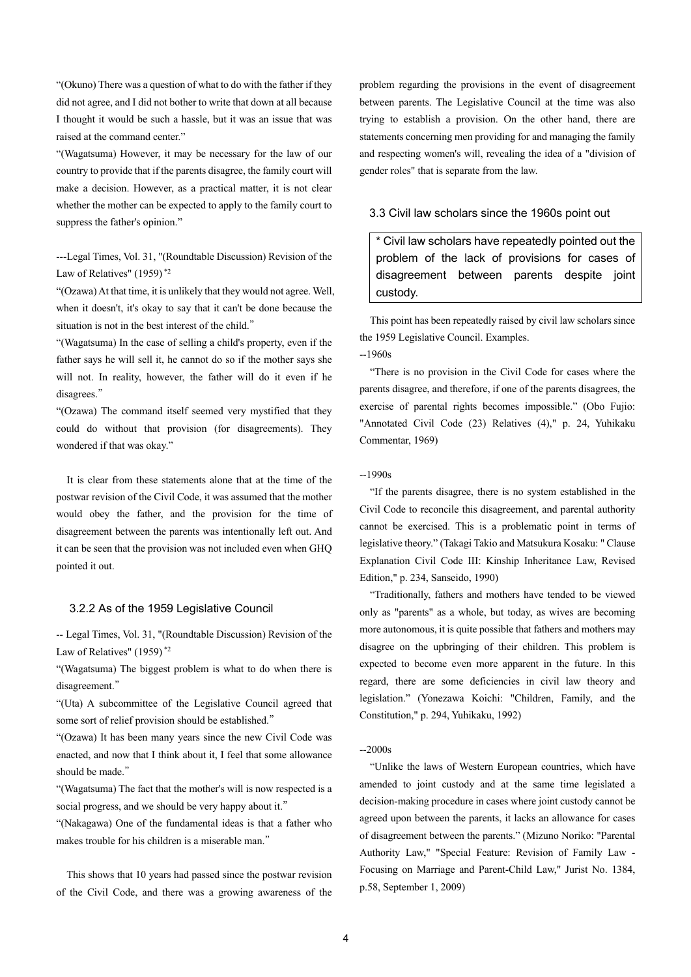"(Okuno) There was a question of what to do with the father if they did not agree, and I did not bother to write that down at all because I thought it would be such a hassle, but it was an issue that was raised at the command center."

"(Wagatsuma) However, it may be necessary for the law of our country to provide that if the parents disagree, the family court will make a decision. However, as a practical matter, it is not clear whether the mother can be expected to apply to the family court to suppress the father's opinion."

---Legal Times, Vol. 31, "(Roundtable Discussion) Revision of the Law of Relatives" (1959)<sup>\*2</sup>

"(Ozawa)At that time, it is unlikely that they would not agree. Well, when it doesn't, it's okay to say that it can't be done because the situation is not in the best interest of the child."

"(Wagatsuma) In the case of selling a child's property, even if the father says he will sell it, he cannot do so if the mother says she will not. In reality, however, the father will do it even if he disagrees."

"(Ozawa) The command itself seemed very mystified that they could do without that provision (for disagreements). They wondered if that was okay."

It is clear from these statements alone that at the time of the postwar revision of the Civil Code, it was assumed that the mother would obey the father, and the provision for the time of disagreement between the parents was intentionally left out. And it can be seen that the provision was not included even when GHQ pointed it out.

#### 3.2.2 As of the 1959 Legislative Council

-- Legal Times, Vol. 31, "(Roundtable Discussion) Revision of the Law of Relatives" (1959) \*2

"(Wagatsuma) The biggest problem is what to do when there is disagreement."

"(Uta) A subcommittee of the Legislative Council agreed that some sort of relief provision should be established."

"(Ozawa) It has been many years since the new Civil Code was enacted, and now that I think about it, I feel that some allowance should be made."

"(Wagatsuma) The fact that the mother's will is now respected is a social progress, and we should be very happy about it."

"(Nakagawa) One of the fundamental ideas is that a father who makes trouble for his children is a miserable man."

This shows that 10 years had passed since the postwar revision of the Civil Code, and there was a growing awareness of the problem regarding the provisions in the event of disagreement between parents. The Legislative Council at the time was also trying to establish a provision. On the other hand, there are statements concerning men providing for and managing the family and respecting women's will, revealing the idea of a "division of gender roles" that is separate from the law.

# 3.3 Civil law scholars since the 1960s point out

\* Civil law scholars have repeatedly pointed out the problem of the lack of provisions for cases of disagreement between parents despite joint custody.

This point has been repeatedly raised by civil law scholars since the 1959 Legislative Council. Examples.

#### --1960s

"There is no provision in the Civil Code for cases where the parents disagree, and therefore, if one of the parents disagrees, the exercise of parental rights becomes impossible." (Obo Fujio: "Annotated Civil Code (23) Relatives (4)," p. 24, Yuhikaku Commentar, 1969)

 $-1990s$ 

"If the parents disagree, there is no system established in the Civil Code to reconcile this disagreement, and parental authority cannot be exercised. This is a problematic point in terms of legislative theory." (Takagi Takio and Matsukura Kosaku: " Clause Explanation Civil Code III: Kinship Inheritance Law, Revised Edition," p. 234, Sanseido, 1990)

"Traditionally, fathers and mothers have tended to be viewed only as "parents" as a whole, but today, as wives are becoming more autonomous, it is quite possible that fathers and mothers may disagree on the upbringing of their children. This problem is expected to become even more apparent in the future. In this regard, there are some deficiencies in civil law theory and legislation." (Yonezawa Koichi: "Children, Family, and the Constitution," p. 294, Yuhikaku, 1992)

#### --2000s

"Unlike the laws of Western European countries, which have amended to joint custody and at the same time legislated a decision-making procedure in cases where joint custody cannot be agreed upon between the parents, it lacks an allowance for cases of disagreement between the parents." (Mizuno Noriko: "Parental Authority Law," "Special Feature: Revision of Family Law - Focusing on Marriage and Parent-Child Law," Jurist No. 1384, p.58, September 1, 2009)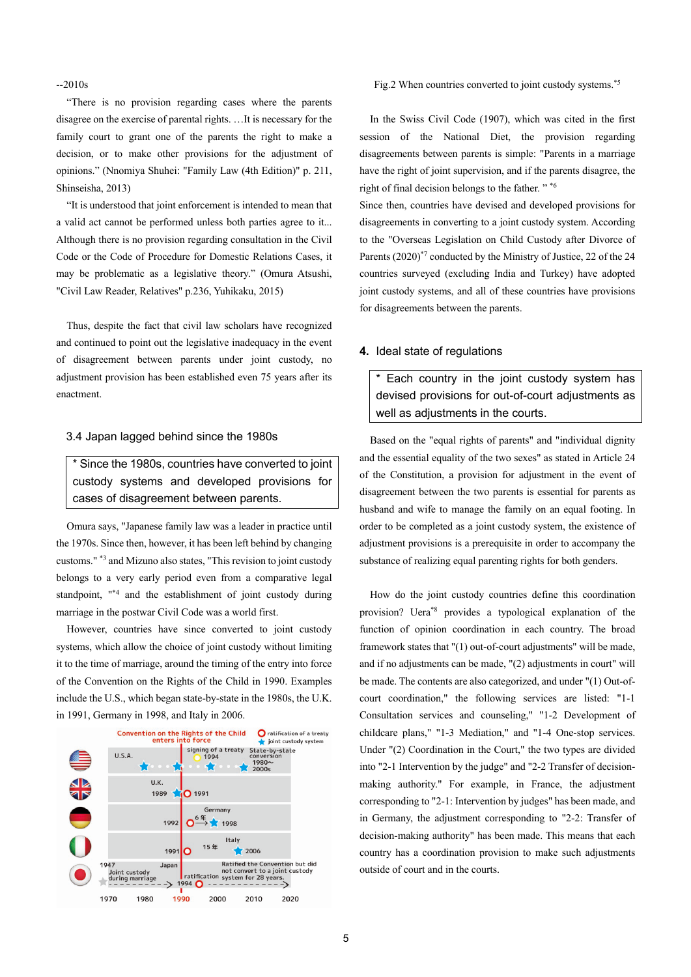$-2010s$ 

"There is no provision regarding cases where the parents disagree on the exercise of parental rights. …It is necessary for the family court to grant one of the parents the right to make a decision, or to make other provisions for the adjustment of opinions." (Nnomiya Shuhei: "Family Law (4th Edition)" p. 211, Shinseisha, 2013)

"It is understood that joint enforcement is intended to mean that a valid act cannot be performed unless both parties agree to it... Although there is no provision regarding consultation in the Civil Code or the Code of Procedure for Domestic Relations Cases, it may be problematic as a legislative theory." (Omura Atsushi, "Civil Law Reader, Relatives" p.236, Yuhikaku, 2015)

Thus, despite the fact that civil law scholars have recognized and continued to point out the legislative inadequacy in the event of disagreement between parents under joint custody, no adjustment provision has been established even 75 years after its enactment.

## 3.4 Japan lagged behind since the 1980s

\* Since the 1980s, countries have converted to joint custody systems and developed provisions for cases of disagreement between parents.

Omura says, "Japanese family law was a leader in practice until the 1970s. Since then, however, it has been left behind by changing customs." \*3 and Mizuno also states, "This revision to joint custody belongs to a very early period even from a comparative legal standpoint, "<sup>\*4</sup> and the establishment of joint custody during marriage in the postwar Civil Code was a world first.

However, countries have since converted to joint custody systems, which allow the choice of joint custody without limiting it to the time of marriage, around the timing of the entry into force of the Convention on the Rights of the Child in 1990. Examples include the U.S., which began state-by-state in the 1980s, the U.K. in 1991, Germany in 1998, and Italy in 2006.



#### Fig.2 When countries converted to joint custody systems.\*5

In the Swiss Civil Code (1907), which was cited in the first session of the National Diet, the provision regarding disagreements between parents is simple: "Parents in a marriage have the right of joint supervision, and if the parents disagree, the right of final decision belongs to the father."<sup>\*6</sup>

Since then, countries have devised and developed provisions for disagreements in converting to a joint custody system. According to the "Overseas Legislation on Child Custody after Divorce of Parents (2020)<sup>\*7</sup> conducted by the Ministry of Justice, 22 of the 24 countries surveyed (excluding India and Turkey) have adopted joint custody systems, and all of these countries have provisions for disagreements between the parents.

## **4.** Ideal state of regulations

\* Each country in the joint custody system has devised provisions for out-of-court adjustments as well as adjustments in the courts.

Based on the "equal rights of parents" and "individual dignity and the essential equality of the two sexes" as stated in Article 24 of the Constitution, a provision for adjustment in the event of disagreement between the two parents is essential for parents as husband and wife to manage the family on an equal footing. In order to be completed as a joint custody system, the existence of adjustment provisions is a prerequisite in order to accompany the substance of realizing equal parenting rights for both genders.

How do the joint custody countries define this coordination provision? Uera\*8 provides a typological explanation of the function of opinion coordination in each country. The broad framework states that "(1) out-of-court adjustments" will be made, and if no adjustments can be made, "(2) adjustments in court" will be made. The contents are also categorized, and under "(1) Out-ofcourt coordination," the following services are listed: "1-1 Consultation services and counseling," "1-2 Development of childcare plans," "1-3 Mediation," and "1-4 One-stop services. Under "(2) Coordination in the Court," the two types are divided into "2-1 Intervention by the judge" and "2-2 Transfer of decisionmaking authority." For example, in France, the adjustment corresponding to "2-1: Intervention by judges" has been made, and in Germany, the adjustment corresponding to "2-2: Transfer of decision-making authority" has been made. This means that each country has a coordination provision to make such adjustments outside of court and in the courts.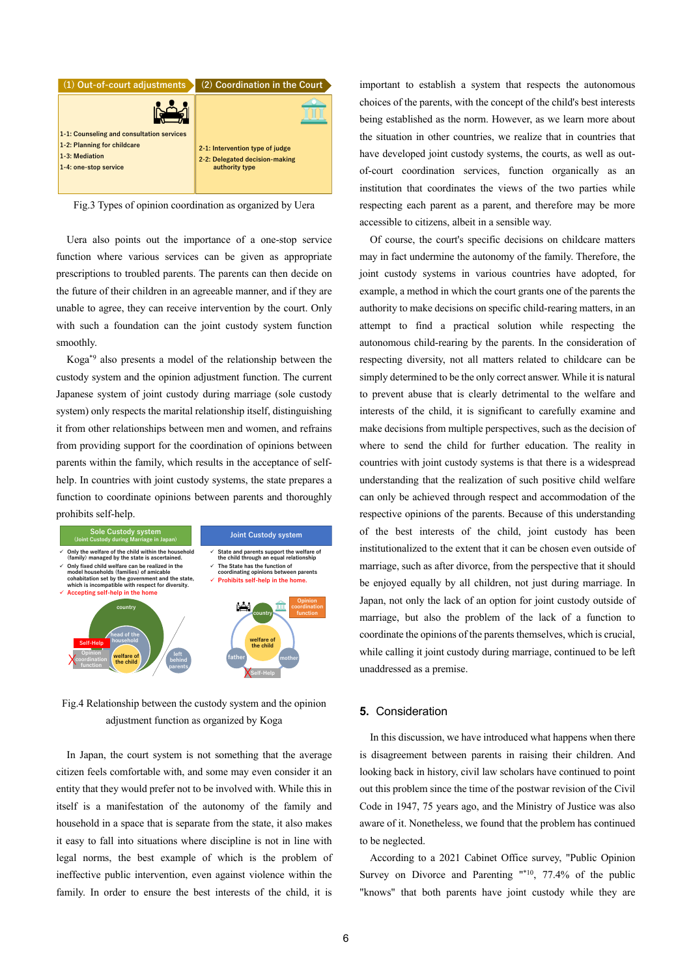

Fig.3 Types of opinion coordination as organized by Uera

Uera also points out the importance of a one-stop service function where various services can be given as appropriate prescriptions to troubled parents. The parents can then decide on the future of their children in an agreeable manner, and if they are unable to agree, they can receive intervention by the court. Only with such a foundation can the joint custody system function smoothly.

Koga\*9 also presents a model of the relationship between the custody system and the opinion adjustment function. The current Japanese system of joint custody during marriage (sole custody system) only respects the marital relationship itself, distinguishing it from other relationships between men and women, and refrains from providing support for the coordination of opinions between parents within the family, which results in the acceptance of selfhelp. In countries with joint custody systems, the state prepares a function to coordinate opinions between parents and thoroughly prohibits self-help.



Fig.4 Relationship between the custody system and the opinion adjustment function as organized by Koga

In Japan, the court system is not something that the average citizen feels comfortable with, and some may even consider it an entity that they would prefer not to be involved with. While this in itself is a manifestation of the autonomy of the family and household in a space that is separate from the state, it also makes it easy to fall into situations where discipline is not in line with legal norms, the best example of which is the problem of ineffective public intervention, even against violence within the family. In order to ensure the best interests of the child, it is

important to establish a system that respects the autonomous choices of the parents, with the concept of the child's best interests being established as the norm. However, as we learn more about the situation in other countries, we realize that in countries that have developed joint custody systems, the courts, as well as outof-court coordination services, function organically as an institution that coordinates the views of the two parties while respecting each parent as a parent, and therefore may be more accessible to citizens, albeit in a sensible way.

Of course, the court's specific decisions on childcare matters may in fact undermine the autonomy of the family. Therefore, the joint custody systems in various countries have adopted, for example, a method in which the court grants one of the parents the authority to make decisions on specific child-rearing matters, in an attempt to find a practical solution while respecting the autonomous child-rearing by the parents. In the consideration of respecting diversity, not all matters related to childcare can be simply determined to be the only correct answer. While it is natural to prevent abuse that is clearly detrimental to the welfare and interests of the child, it is significant to carefully examine and make decisions from multiple perspectives, such as the decision of where to send the child for further education. The reality in countries with joint custody systems is that there is a widespread understanding that the realization of such positive child welfare can only be achieved through respect and accommodation of the respective opinions of the parents. Because of this understanding of the best interests of the child, joint custody has been institutionalized to the extent that it can be chosen even outside of marriage, such as after divorce, from the perspective that it should be enjoyed equally by all children, not just during marriage. In Japan, not only the lack of an option for joint custody outside of marriage, but also the problem of the lack of a function to coordinate the opinions of the parents themselves, which is crucial, while calling it joint custody during marriage, continued to be left unaddressed as a premise.

#### **5.** Consideration

In this discussion, we have introduced what happens when there is disagreement between parents in raising their children. And looking back in history, civil law scholars have continued to point out this problem since the time of the postwar revision of the Civil Code in 1947, 75 years ago, and the Ministry of Justice was also aware of it. Nonetheless, we found that the problem has continued to be neglected.

According to a 2021 Cabinet Office survey, "Public Opinion Survey on Divorce and Parenting "\*10, 77.4% of the public "knows" that both parents have joint custody while they are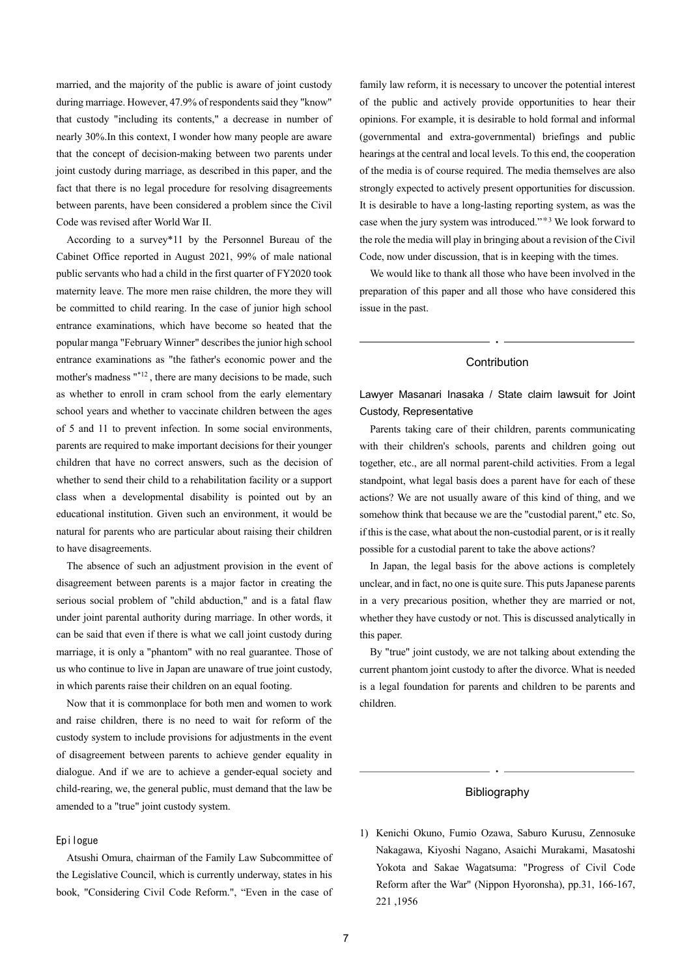married, and the majority of the public is aware of joint custody during marriage. However, 47.9% of respondents said they "know" that custody "including its contents," a decrease in number of nearly 30%.In this context, I wonder how many people are aware that the concept of decision-making between two parents under joint custody during marriage, as described in this paper, and the fact that there is no legal procedure for resolving disagreements between parents, have been considered a problem since the Civil Code was revised after World War II.

According to a survey\*11 by the Personnel Bureau of the Cabinet Office reported in August 2021, 99% of male national public servants who had a child in the first quarter of FY2020 took maternity leave. The more men raise children, the more they will be committed to child rearing. In the case of junior high school entrance examinations, which have become so heated that the popular manga "February Winner" describes the junior high school entrance examinations as "the father's economic power and the mother's madness  $^{n*12}$ , there are many decisions to be made, such as whether to enroll in cram school from the early elementary school years and whether to vaccinate children between the ages of 5 and 11 to prevent infection. In some social environments, parents are required to make important decisions for their younger children that have no correct answers, such as the decision of whether to send their child to a rehabilitation facility or a support class when a developmental disability is pointed out by an educational institution. Given such an environment, it would be natural for parents who are particular about raising their children to have disagreements.

The absence of such an adjustment provision in the event of disagreement between parents is a major factor in creating the serious social problem of "child abduction," and is a fatal flaw under joint parental authority during marriage. In other words, it can be said that even if there is what we call joint custody during marriage, it is only a "phantom" with no real guarantee. Those of us who continue to live in Japan are unaware of true joint custody, in which parents raise their children on an equal footing.

Now that it is commonplace for both men and women to work and raise children, there is no need to wait for reform of the custody system to include provisions for adjustments in the event of disagreement between parents to achieve gender equality in dialogue. And if we are to achieve a gender-equal society and child-rearing, we, the general public, must demand that the law be amended to a "true" joint custody system.

#### Epilogue

Atsushi Omura, chairman of the Family Law Subcommittee of the Legislative Council, which is currently underway, states in his book, "Considering Civil Code Reform.", "Even in the case of family law reform, it is necessary to uncover the potential interest of the public and actively provide opportunities to hear their opinions. For example, it is desirable to hold formal and informal (governmental and extra-governmental) briefings and public hearings at the central and local levels. To this end, the cooperation of the media is of course required. The media themselves are also strongly expected to actively present opportunities for discussion. It is desirable to have a long-lasting reporting system, as was the case when the jury system was introduced."\*<sup>3</sup> We look forward to the role the media will play in bringing about a revision of the Civil Code, now under discussion, that is in keeping with the times.

We would like to thank all those who have been involved in the preparation of this paper and all those who have considered this issue in the past.

# **Contribution**  $\ddot{\phantom{0}}$

Lawyer Masanari Inasaka / State claim lawsuit for Joint Custody, Representative

Parents taking care of their children, parents communicating with their children's schools, parents and children going out together, etc., are all normal parent-child activities. From a legal standpoint, what legal basis does a parent have for each of these actions? We are not usually aware of this kind of thing, and we somehow think that because we are the "custodial parent," etc. So, if this is the case, what about the non-custodial parent, or is it really possible for a custodial parent to take the above actions?

In Japan, the legal basis for the above actions is completely unclear, and in fact, no one is quite sure. This puts Japanese parents in a very precarious position, whether they are married or not, whether they have custody or not. This is discussed analytically in this paper.

By "true" joint custody, we are not talking about extending the current phantom joint custody to after the divorce. What is needed is a legal foundation for parents and children to be parents and children.

# Bibliography  $\ddot{\phantom{0}}$

1) Kenichi Okuno, Fumio Ozawa, Saburo Kurusu, Zennosuke Nakagawa, Kiyoshi Nagano, Asaichi Murakami, Masatoshi Yokota and Sakae Wagatsuma: "Progress of Civil Code Reform after the War" (Nippon Hyoronsha), pp.31, 166-167, 221 ,1956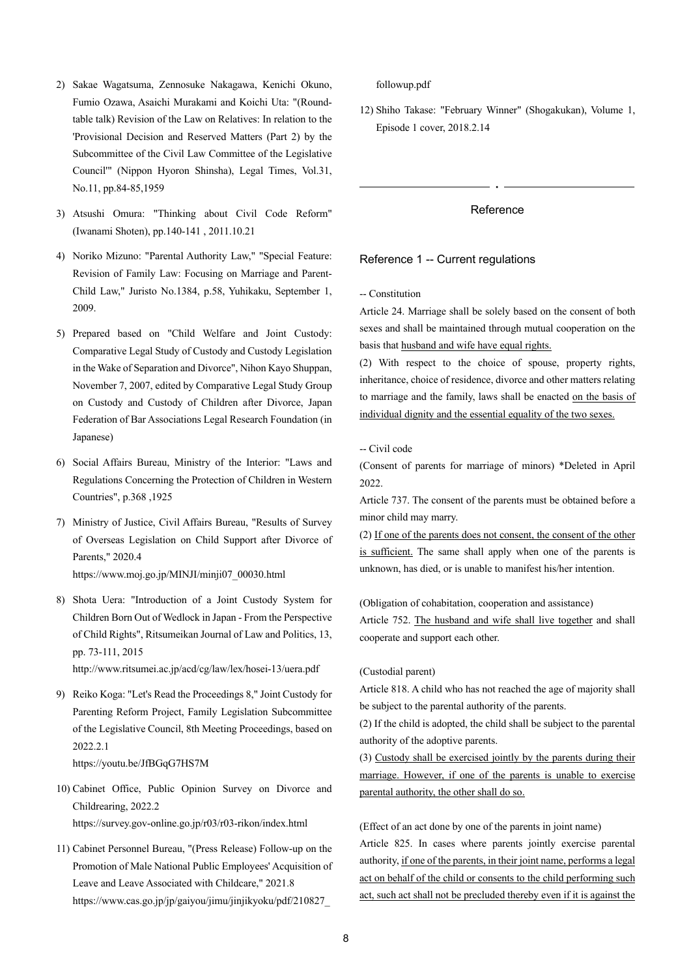- 2) Sakae Wagatsuma, Zennosuke Nakagawa, Kenichi Okuno, Fumio Ozawa, Asaichi Murakami and Koichi Uta: "(Roundtable talk) Revision of the Law on Relatives: In relation to the 'Provisional Decision and Reserved Matters (Part 2) by the Subcommittee of the Civil Law Committee of the Legislative Council'" (Nippon Hyoron Shinsha), Legal Times, Vol.31, No.11, pp.84-85,1959
- 3) Atsushi Omura: "Thinking about Civil Code Reform" (Iwanami Shoten), pp.140-141 , 2011.10.21
- 4) Noriko Mizuno: "Parental Authority Law," "Special Feature: Revision of Family Law: Focusing on Marriage and Parent-Child Law," Juristo No.1384, p.58, Yuhikaku, September 1, 2009.
- 5) Prepared based on "Child Welfare and Joint Custody: Comparative Legal Study of Custody and Custody Legislation in the Wake of Separation and Divorce", Nihon Kayo Shuppan, November 7, 2007, edited by Comparative Legal Study Group on Custody and Custody of Children after Divorce, Japan Federation of Bar Associations Legal Research Foundation (in Japanese)
- 6) Social Affairs Bureau, Ministry of the Interior: "Laws and Regulations Concerning the Protection of Children in Western Countries", p.368 ,1925
- 7) Ministry of Justice, Civil Affairs Bureau, "Results of Survey of Overseas Legislation on Child Support after Divorce of Parents," 2020.4 https://www.moj.go.jp/MINJI/minji07\_00030.html
- 8) Shota Uera: "Introduction of a Joint Custody System for Children Born Out of Wedlock in Japan - From the Perspective of Child Rights", Ritsumeikan Journal of Law and Politics, 13, pp. 73-111, 2015

http://www.ritsumei.ac.jp/acd/cg/law/lex/hosei-13/uera.pdf

9) Reiko Koga: "Let's Read the Proceedings 8," Joint Custody for Parenting Reform Project, Family Legislation Subcommittee of the Legislative Council, 8th Meeting Proceedings, based on 2022.2.1

https://youtu.be/JfBGqG7HS7M

- 10) Cabinet Office, Public Opinion Survey on Divorce and Childrearing, 2022.2 https://survey.gov-online.go.jp/r03/r03-rikon/index.html
- 11) Cabinet Personnel Bureau, "(Press Release) Follow-up on the Promotion of Male National Public Employees' Acquisition of Leave and Leave Associated with Childcare," 2021.8 https://www.cas.go.jp/jp/gaiyou/jimu/jinjikyoku/pdf/210827\_

followup.pdf

12) Shiho Takase: "February Winner" (Shogakukan), Volume 1, Episode 1 cover, 2018.2.14

# Reference

 $\ddot{\phantom{0}}$ 

## Reference 1 -- Current regulations

-- Constitution

Article 24. Marriage shall be solely based on the consent of both sexes and shall be maintained through mutual cooperation on the basis that husband and wife have equal rights.

(2) With respect to the choice of spouse, property rights, inheritance, choice of residence, divorce and other matters relating to marriage and the family, laws shall be enacted on the basis of individual dignity and the essential equality of the two sexes.

# -- Civil code

(Consent of parents for marriage of minors) \*Deleted in April 2022.

Article 737. The consent of the parents must be obtained before a minor child may marry.

(2) If one of the parents does not consent, the consent of the other is sufficient. The same shall apply when one of the parents is unknown, has died, or is unable to manifest his/her intention.

(Obligation of cohabitation, cooperation and assistance)

Article 752. The husband and wife shall live together and shall cooperate and support each other.

#### (Custodial parent)

Article 818. A child who has not reached the age of majority shall be subject to the parental authority of the parents.

(2) If the child is adopted, the child shall be subject to the parental authority of the adoptive parents.

(3) Custody shall be exercised jointly by the parents during their marriage. However, if one of the parents is unable to exercise parental authority, the other shall do so.

(Effect of an act done by one of the parents in joint name) Article 825. In cases where parents jointly exercise parental authority, if one of the parents, in their joint name, performs a legal act on behalf of the child or consents to the child performing such act, such act shall not be precluded thereby even if it is against the